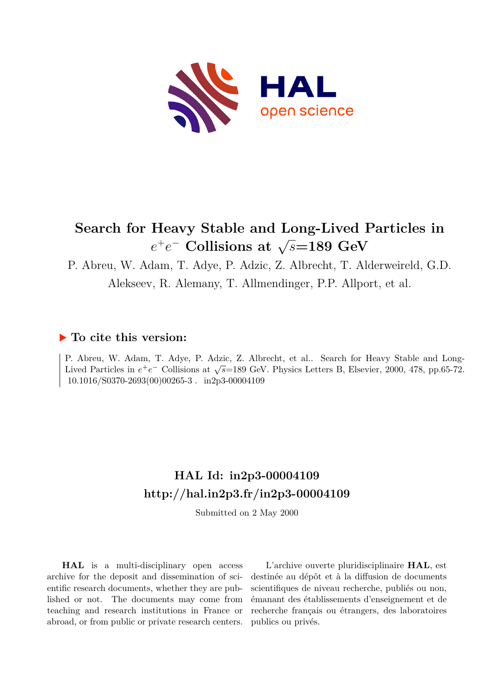

# **Search for Heavy Stable and Long-Lived Particles in**  $e^+e^-$  **Collisions at**  $\sqrt{s}$ =189 GeV

P. Abreu, W. Adam, T. Adye, P. Adzic, Z. Albrecht, T. Alderweireld, G.D.

Alekseev, R. Alemany, T. Allmendinger, P.P. Allport, et al.

#### **To cite this version:**

P. Abreu, W. Adam, T. Adye, P. Adzic, Z. Albrecht, et al.. Search for Heavy Stable and Long-Lived Particles in  $e^+e^-$  Collisions at  $\sqrt{s}$ =189 GeV. Physics Letters B, Elsevier, 2000, 478, pp.65-72. 10.1016/S0370-2693(00)00265-3. in2p3-00004109

# **HAL Id: in2p3-00004109 <http://hal.in2p3.fr/in2p3-00004109>**

Submitted on 2 May 2000

**HAL** is a multi-disciplinary open access archive for the deposit and dissemination of scientific research documents, whether they are published or not. The documents may come from teaching and research institutions in France or abroad, or from public or private research centers.

L'archive ouverte pluridisciplinaire **HAL**, est destinée au dépôt et à la diffusion de documents scientifiques de niveau recherche, publiés ou non, émanant des établissements d'enseignement et de recherche français ou étrangers, des laboratoires publics ou privés.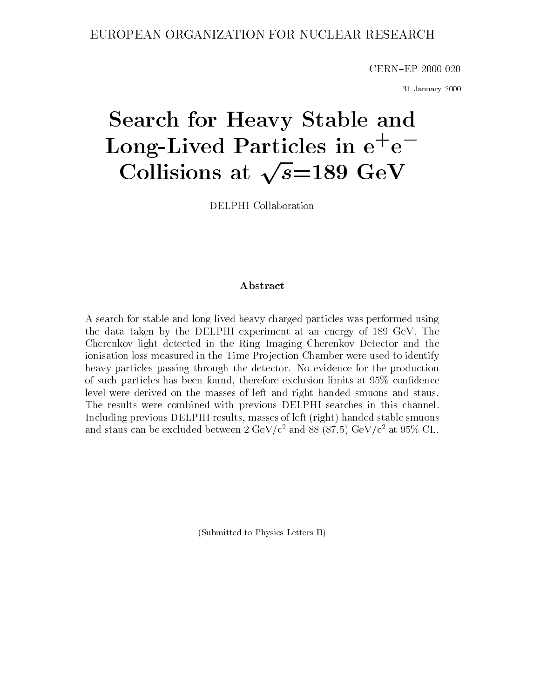CERN{EP-2000-020

31 January 2000

# Search for Heavy State and Heavy State and Heavy State and Heavy State and Heavy State and Heavy State and Heavy Long-Lived Particles in e+ e Collisions at  $\sqrt{s}=189$  GeV

DELPHI Collaboration

#### Abstract

A search for stable and long-lived heavy charged particles was performed using the data taken by the DELPHI experiment at an energy of 189 GeV. The Cherenkov light detected in the Ring Imaging Cherenkov Detector and the ionisation loss measured in the Time Projection Chamber were used to identify heavy particles passing through the detector. No evidence for the production of such particles has been found, therefore exclusion limits at 95% condence level were derived on the masses of left and right handed smuons and staus. The results were combined with previous DELPHI searches in this channel. Including previous DELPHI results, masses of left (right) handed stable smuons and staus can be excluded between 2 GeV/c<sup>2</sup> and 88 (87.5) GeV/c<sup>2</sup> at 95% CL.

(Submitted to Physics Letters B)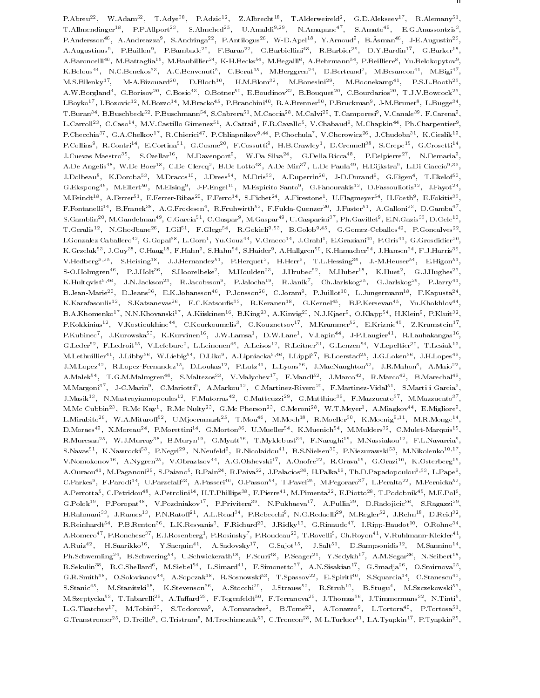F.ADFeu=", W.Adam=", T.Adye"", F.Adzic=", Z.Aldfecht"", T.Alderweifeld", G.D.Alekseev\*'', R.Alemany\*", ' T.Allmendinger="," P.P.Allport="," S.Almened="," U.Amaldi<sup>34</sup>"," N.Amapane="," S.Amato="," E.G.Anassontzis"," P.Andersson\*\*, A.Andreazza\*, S.Andringa\*\*, P.Antilogus\*\*, W-D.Apel\*\*, Y.Arnoud\*, B.Asman\*\*, J-E.Augustin\*\*, A.Augustinus", P.Baillon", P.Bambade", P.Barao", G.Barbiellini", R.Barbier", D.Y.Bardin", G.Barker", A.Baroncelli ", M.Battaglia" , M.Baubillier ", K-H.Becks" , M.Begalli , A.Behrmann ", P.Beilliere", Yu.Belokopytov , , K.Belous ", N.C.Benekos", A.C.Benvenuti", C.Berat ", M.Berggren", D.Bertrand", M.Besancon ", M.Bigi M.S.Bilenky M-A.Bizouard , D.Bloch , H.M.Blom , M.Bonesini , M.Boonekamp , F.S.L.Booth , A.W.Borgland , G.Borisov , C.Bosio , O.Botner , E.Boudinov , B.Bouquet , C.Bourdarios , T.J.V.Bowcock , , L.Boyko 1, L.Bozovic 1, M.Bozzo 1, M.Bracko 1, P.Branchini 1, R.A.Brenner 1, P.Bruckman1, J-M.Brunet 1, L.Bugge , T.Buran<sup>3</sup>, B.Buschbeck<sup>32</sup>, P.Buschmann<sup>3</sup>, S.Cabrera<sup>29</sup>, M.Caccia<sup>29</sup>, M.Calvi<sup>29</sup>, T.Camporesi<sup>3</sup>, V.Canale<sup>29</sup>, P.Carena3, , L.Carroll\*\*, C.Caso\*\*, M.V.Castillo Gimenez\*\*, A.Cattai\*, P.R.Cavallo\*, V.Chabaud\*, M.Chapkin\*\*, Ph.Charpentier\*, P.Ohecchia (G.A.Ohelkov), R.Ohierici (P.Chliaphikov)), P.Ohochula (V.Ohorowicz-), J.Ohudoba-), K.Oleslik ( P.Collins", R.Contri<sup>1</sup>", E.Cortina<sup>1</sup>", G.Cosme<sup>1</sup>", P.Cossutti", H.B.Crawley", D.Crennell<sup>11</sup>, S.Crepe<sup>11</sup>, G.Crosetti<sup>11</sup>, J.Uuevas Maestro22, S.Uzellar22, M.Davenport7, W.Da Silva27, G.Della Ricca27, P.Delpierre27, N.Demaria1, S. A.De Angelist", W.De Boert", C.De Clercq", B.De Lottoff, A.De Minaff, L.De Paulaff, H.Dijkstraf, L.Di Clacciofff, J.Dolbeau", K.Doroba<sup>33</sup>, M.Dracos<sup>23</sup>, J.Drees1, M.Dris1, A.Duperrin11, J-D.Durand1, G.Eigen1, I.Ekelof11, , G.Ekspong\*\*, M.Ellert\*\*, M.Elsing\*, J-F.Engel\*\*, M.Espirito Santo\*, G.Fanourakis\*\*, D.Fassouliotis\*\*, J.Fayot\*\*, , M.Feindt\*\*, A.Ferrer\*\*, E.Ferrer-Ribas\*\*, F.Ferro\*\*, S.Fichet\*\*, A.Firestone\*, U.Flagmeyer\*\*, H.Foeth\*, E.Fokitis\*\*, F.Fontanelli\*\*, B.Franek~\*, A.G.Frodesen\*, K.Fruhwirth\*\*, F.Fulda-Quenzer\*\*, J.Fuster\*\*, A.Galloni\*\*, D.Gamba\*\*, , S.Gambiin"", M.Gandelman"", C.Garcia", C.Gaspar", M.Gaspar", U.Gasparini", Ph.Gavillet", E.N.Gazis", D.Gele-", , T.Geralis\*\*, N.Ghodbane\*\*, T.Gil\*\*, F.Glege\*\*, R.Gokieli%\*, B.Golob%\*\*, G.Gomez-Ceballos\*\*, P.Goncalves\*\*, L.Gonzalez Caballero + , G.Gopal38, L.Gorn+, Yu.Gouz++, V.Gracco++, J.Grani+, E.Graziani+\*, F.Gris++, G.Grosdidier=\*, K.Grzelak\*\*, J.Guy\*\*, O.Haag\*\*, F.Hahn\*, S.Hahn\*\*, S.Haider\*, A.Hallgren\*\*, K.Hamacher\*\*, J.Hansen\*\*, F.J.Harris\*\*, , V.Hedberg117, S.Heising17, J.J.Hernandez11, P.Herquet1, H.Herr1, L.Hessing11, J.-M.Heuser11, E.Higon11, I , S-O.Holmgren\*\*, P.J.Holt\*\*, S.Hoorelbeke\*, M.Houlden\*\*, J.Hrubec\*\*, M.Huber\*\*, K.Huet\*, G.J.Hughes\*\*, N.Hultqvist J.N.Jackson R.Jacobsson P.Jalocha R.Janik Ch.Jarlskog P.Jarlskog P.Jarry , B.Jean-Mariett, D.Jeanst, E.K.Johanssontt, P.Jonssontt, C.Jorami, P.Julliott, E.Jungermannia, P.Kapustatt, K.Karafasouliste, S.Katsanevaste, E.O.Katsouliste, K.Keranente, G.Kernelte, D.F.Kersevante, Tu.Khokhlovate, S D.A.Khomenko T, N.N.Khovanski T, A.Kiiskinen T, B.King T, A.Kinvig T, N.J.Kjaer , O.Kiapp T, H.Klein , P.Kluit T, P.Kokkinias = v.Kostioukhine=", U.Kourkoumelis", U.Kouznetsov\*", M.Krammer\*", E.Kriznic+", Z.Krumstein\*", ---P.Kubinec , J.Kurowska1, K.Kurvinen11, J.W.Lamsa1, D.W.Lane1, V.Lapin11, J-P.Laugier11, K.Launakangas11, G.Leder=", F.Ledroit=", V.Lefebure", L.Leinonen=", A.Leisos"", K.Leitner=", G.Lenzen=", V.Lepeltier=", T.Lesiak1", M.Lethuillier\*\*, J.Libby\*\*, W.Liebig\*\*, D.Liko\*, A.Lipniacka\*\*\*\*, I.Lippi\*\*, D.Loerstad\*\*, J.G.Loken\*\*, J.H.Lopes\*\*, , J.M.Lopez=", R.Lopez-Fernandez"", D.Loukas"", F.Lutz-", L.Lyons", J.MacNaughton=", J.R.Mahon", A.Maio=", -, A.Malekter, T.G.M.Malmigrenet, S.Maltezoster, V.Malychever, P.Mahdlfe, J.Marcoef, R.Marcoef, D.Marechalef, M.Margoni', J-C.Marin', C.Mariotti', A.Markou'', C.Martinez-Nivero ', F.Martinez-Vidal\*', S.Marti i Garcia\*, , J.Masik11, N.Mastroyiannopoulos11, F.Matorras11, C.Matteuzzi11, G.Matthiae11, F.Mazzucato11, M.Mazzucato11, M. M.Mc Cubbin<sup>22</sup>, R.Mc Kay1, R.Mc Nulty<sup>23</sup>, G.Mc Pherson<sup>23</sup>, C.Meroni<sup>28</sup>, W.T.Meyer1, A.Miagkov11, E.Migliore1, , L.Mirabito<sup>26</sup>, W.A.Mitaroff<sup>52</sup>, U.Mjoernmark<sup>25</sup>, T.Moa<sup>46</sup>, M.Moch<sup>18</sup>, R.Moeller<sup>30</sup>, K.Moenig<sup>9,11</sup>, M.R.Monge<sup>14</sup> , D.Moraes A.Moreau 7, P.Morettini 7, G.Morton 7, U.Mueller 7, K.Muenich 7, M.Mulders 7, C.Mulet-Marquis 7, R.Muresan", W.J.Murray'', D.Muryn'', G.Myatt'', T.MyKlebust'', F.Naraghi'', M.Nassiakou'', F.L.Navarria', S.Navast", K.Nawrockit", P.Negrit", N.Neufeldt, K.Nicolaidouff, B.S.Nielsena, P.Niezurawskift, M.Nikolenkofff, V.Nomokonov16, A.Nygren25, V.Obraztsov44, A.G.Olshevski17, A.Onofre22, R.Orava16, G.Orazi10, K.Osterberg16 , A.Ouraou\*\*, M.Paganoni\*\*, S.Paiano\*, R.Pain\*\*, R.Paiva\*\*, J.Palacios\*\*, H.Palka\*\*, Th.D.Papadopoulou\*\*\*, L.Pape\*, , U.Parkes", F.Parodi", U.Parzefall", A.Passeri'', O.Passon", T.Pavel", M.Pegoraro", L.Peralta", M.Pernicka'', A.Perrotta", U.Petridouf", A.Petrolini", H.T.Phillips"", F.Pierref", M.Pimenta"", E.Piotto"", T.Podobnik ", M.E.Polf, , G.Polok", P.Poropat", V.Pozdniakov", P.Privitera", IV.Pukhaeva", A.Pullia", D.Kadojicic", S.Kagazzi-", " , H.Rahmani'', J.Rames'', P.N.Raton'', A.L.Read'', P.Rebecchi', N.G.Redaelli'', M.Regler'', J.Rehn'', D.Reid'', R.Reinhardt=", P.B.Renton=", L.K.Resvanis", P.Richard=", J.Ridky=", G.Rinaudo=", I.Ripp-Baudot=", O.Rohne=", -A.Romero\*\*, P.Ronchese\*\*, E.I.Rosenberg\*, P.Rosinsky\*, P.Roudeau\*\*, T.Rovelli\*, Un.Royon\*\*, V.Ruhlmann-Kleider\*\*, , A.Ruiz-", H.Saarikko-", T.Sacquin-", A.Sadovsky"', G.Sajot-", J.Sait-", D.Sampsonidis-", M.Sannino , Fh.Schweming27, B.Schwering77, U.Schwickerath17, F.Scuri27, F.Seager21, Y.Sedykh21, A.M.Segar23, N.Seibert22, R.Sekulinas, R.C.Shellarda, M.Siebelas, L.Simarda, P.Simonettoa, A.N.Sisakiana, G.Smadjaa, O.Smirnovaa, G.R.Smith<sup>38</sup>, O.Solovianov<sup>44</sup>, A.Sopczak<sup>18</sup>, R.Sosnowski<sup>53</sup>, T.Spassov<sup>22</sup>, E.Spiriti<sup>40</sup>, S.Squarcia<sup>14</sup>, C.Stanescu<sup>40</sup>, , S.Stanic=", M.Stanitzki", K.Stevenson", A.Stocchi", J.Strauss", K.Strub", B.Stugu4, M.Szczekowski\*, ". M.Szeptycka\*\*, T.Tabarelli\*\*, A.Tahard\*\*, F.Tegenfeldt\*\*, F.Terranova\*\*, J.Thomas\*\*, J.Timmermans\*\*, N.Tinti\*, L.G.Tkatchev , M.Tobin , S.Todorova , A.Tomaradze , B.Tome , A.Tonazzo , L.Tortora , P.Tortosa , G.Transtromer", D.Treille", G.Tristram", M.Trochimczuk", O.Troncon", M-L.Turluer", T.A.Tyapkin'', P.Tyapkin'',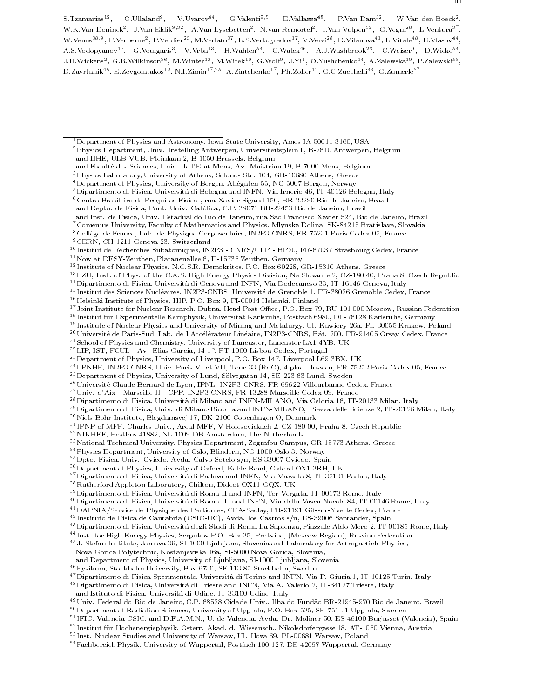$^5$ Dipartimento di Fisica, Università di Bologna and INFN, Via Irnerio 46, IT-40126 Bologna, Italy

- and Inst. de Física, Univ. Estadual do Rio de Janeiro, rua São Francisco Xavier 524, Rio de Janeiro, Brazil
- 7Comenius University, Faculty of Mathematics and Physics, Mlynska Dolina, SK-84215 Bratislava, Slovakia
- 8College de France, Lab. de Physique Corpusculaire, IN2P3-CNRS, FR-75231 Paris Cedex 05, France
- 9CERN, CH-1211 Geneva 23, Switzerland

- 11Now at DESY-Zeuthen, Platanenallee 6, D-15735 Zeuthen, Germany
- <sup>12</sup> Institute of Nuclear Physics, N.C.S.R. Demokritos, P.O. Box 60228, GR-15310 Athens, Greece
- 13FZU, Inst. of Phys. of the C.A.S. High Energy Physics Division, Na Slovance 2, CZ-180 40, Praha 8, Czech Republic
- 14Dipartimento di Fisica, Universita di Genova and INFN, Via Dodecaneso 33, IT-16146 Genova, Italy

<sup>15</sup> Institut des Sciences Nucleaires, IN2P3-CNRS, Universite de Grenoble 1, FR-38026 Grenoble Cedex, France

- <sup>16</sup> Helsinki Institute of Physics, HIP, P.O. Box 9, FI-00014 Helsinki, Finland
- <sup>17</sup> Joint Institute for Nuclear Research, Dubna, Head Post Office, P.O. Box 79, RU-101 000 Moscow, Russian Federation
- <sup>18</sup> Institut fur Experimentelle Kernphysik, Universitat Karlsruhe, Postfach 6980, DE-76128 Karlsruhe, Germany
- <sup>19</sup> Institute of Nuclear Physics and University of Mining and Metalurgy, Ul. Kawiory 26a, PL-30055 Krakow, Poland
- <sup>20</sup> Université de Paris-Sud, Lab. de l'Accélérateur Linéaire, IN2P3-CNRS, Bât. 200, FR-91405 Orsay Cedex, France
- 21School of Physics and Chemistry, University of Lancaster, Lancaster LA1 4YB, UK
- <sup>--</sup> LIF, IST, FUUL AV. Elias Garcia, 14-1°, FT-1000 Lisboa Codex, Forugal
- 23Department of Physics, University of Liverpool, P.O. Box 147, Liverpool L69 3BX, UK
- 24LPNHE, IN2P3-CNRS, Univ. Paris VI et VII, Tour 33 (RdC), 4 place Jussieu, FR-75252 Paris Cedex 05, France
- $^{25}\rm{Department}$  of Physics, University of Lund, Sölvegatan 14, SE-223 63 Lund, Sweden
- <sup>26</sup> Université Claude Bernard de Lyon, IPNL, IN2P3-CNRS, FR-69622 Villeurbanne Cedex, France
- 27Univ. d'Aix Marseille II CPP, IN2P3-CNRS, FR-13288 Marseille Cedex 09, France
- 28Dipartimento di Fisica, Universita di Milano and INFN-MILANO, Via Celoria 16, IT-20133 Milan, Italy
- 29Dipartimento di Fisica, Univ. di Milano-Bicocca and INFN-MILANO, Piazza delle Scienze 2, IT-20126 Milan, Italy
- $^{30}\rm{Ni}$ ls Bohr Institute, Blegdamsvej 17, DK-2100 Copenhagen Ø, Denmark
- $\lceil \cdot \rceil$ IPNP of MFF, Unaries Univ., Areal MFF, V Holesovickach 2, UZ-180 00, Praha 8, Uzech Republic
- 32NIKHEF, Postbus 41882, NL-1009 DB Amsterdam, The Netherlands
- 33National Technical University, Physics Department, Zografou Campus, GR-15773 Athens, Greece
- 34Physics Department, University of Oslo, Blindern, NO-1000 Oslo 3, Norway
- $^{35}\rm{Dpto}$ . Fisica, Univ. Oviedo, Avda. Calvo Sotelo s/n, ES-33007 Oviedo, Spain
- 36Department of Physics, University of Oxford, Keble Road, Oxford OX1 3RH, UK
- 37Dipartimento di Fisica, Universita di Padova and INFN, Via Marzolo 8, IT-35131 Padua, Italy
- 38Rutherford Appleton Laboratory, Chilton, Didcot OX11 OQX, UK
- 39Dipartimento di Fisica, Universita di Roma II and INFN, Tor Vergata, IT-00173 Rome, Italy
- 40Dipartimento di Fisica, Universita di Roma III and INFN, Via della Vasca Navale 84, IT-00146 Rome, Italy
- 41DAPNIA/Service de Physique des Particules, CEA-Saclay, FR-91191 Gif-sur-Yvette Cedex, France
- <sup>42</sup> Instituto de Fisica de Cantabria (CSIC-UC), Avda. los Castros s/n, ES-39006 Santander, Spain
- 43Dipartimento di Fisica, Universita degli Studi di Roma La Sapienza, Piazzale Aldo Moro 2, IT-00185 Rome, Italy
- $\sim$  Inst. for High Energy Physics, Serpukov P.O. Box 35, Protvino, (Moscow Region), Russian Federation  $\sim$
- 45J. Stefan Institute, Jamova 39, SI-1000 Ljubljana, Slovenia and Laboratory for Astroparticle Physics, Nova Gorica Polytechnic, Kostanjeviska 16a, SI-5000 Nova Gorica, Slovenia,
- 
- and Department of Physics, University of Ljubljana, SI-1000 Ljubljana, Slovenia
- $^{46}\rm Fy$ sikum, Stockholm University, Box 6730, SE-113 85 Stockholm, Sweden
- 47Dipartimento di Fisica Sperimentale, Universita di Torino and INFN, Via P. Giuria 1, IT-10125 Turin, Italy
- 48Dipartimento di Fisica, Universita di Trieste and INFN, Via A. Valerio 2, IT-34127 Trieste, Italy and Istituto di Fisica, Universita di Udine, IT-33100 Udine, Italy
- <sup>49</sup>Univ. Federal do Rio de Janeiro, C.P. 68528 Cidade Univ., Ilha do Fundão BR-21945-970 Rio de Janeiro, Brazil
- 50Department of Radiation Sciences, University of Uppsala, P.O. Box 535, SE-751 21 Uppsala, Sweden
- <sup>51</sup> IFIC, Valencia-CSIC, and D.F.A.M.N., U. de Valencia, Avda. Dr. Moliner 50, ES-46100 Burjassot (Valencia), Spain
- <sup>52</sup> Institut fur Hochenergiephysik, Osterr. Ak ad. d. Wissensch., Nikolsdorfergasse 18, AT-1050 Vienna, Austria
- <sup>53</sup> Inst. Nuclear Studies and University of Warsaw, Ul. Hoza 69, PL-00681 Warsaw, Poland
- 54Fachbereich Physik, University of Wuppertal, Postfach 100 127, DE-42097 Wuppertal, Germany

<sup>1</sup>Department of Physics and Astronomy, Iowa State University, Ames IA 50011-3160, USA 2Physics Department, Univ. Instelling Antwerpen, Universiteitsplein 1, B-2610 Antwerpen, Belgium and IIHE, ULB-VUB, Pleinlaan 2, B-1050 Brussels, Belgium

and Faculte des Sciences, Univ. de l'Etat Mons, Av. Maistriau 19, B-7000 Mons, Belgium

<sup>3</sup>Physics Laboratory, University of Athens, Solonos Str. 104, GR-10680 Athens, Greece

<sup>&</sup>lt;sup>4</sup> Department of Physics, University of Bergen, Allégaten 55, NO-5007 Bergen, Norway

 $^6$ Centro Brasileiro de Pesquisas Físicas, rua Xavier Sigaud 150, BR-22290 Rio de Janeiro, Brazil

and Depto. de Física, Pont. Univ. Católica, C.P. 38071 BR-22453 Rio de Janeiro, Brazil

<sup>10</sup> Institut de Recherches Subatomiques, IN2P3 - CNRS/ULP - BP20, FR-67037 Strasbourg Cedex, France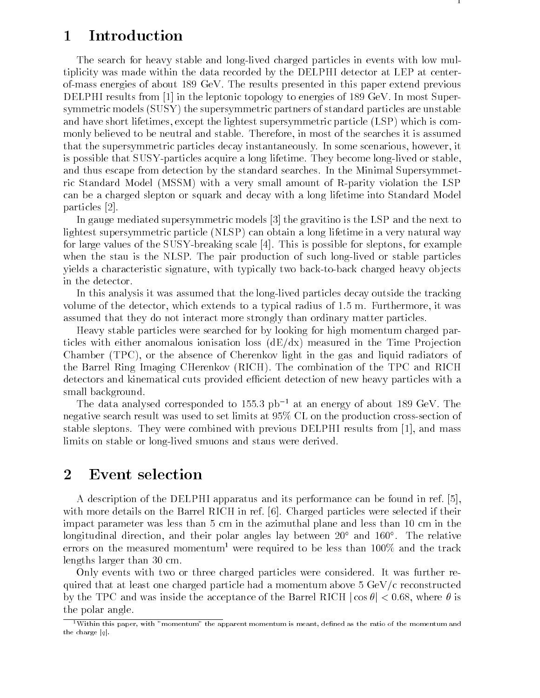### 1 Introduction

The search for heavy stable and long-lived charged particles in events with low multiplicity was made within the data recorded by the DELPHI detector at LEP at centerof-mass energies of about 189 GeV. The results presented in this paper extend previous DELPHI results from [1] in the leptonic topology to energies of 189 GeV. In most Supersymmetric models (SUSY) the supersymmetric partners of standard particles are unstable and have short lifetimes, except the lightest supersymmetric particle (LSP) which is commonly believed to be neutral and stable. Therefore, in most of the searches it is assumed that the supersymmetric particles decay instantaneously. In some scenarious, however, it is possible that SUSY-particles acquire a long lifetime. They become long-lived or stable, and thus escape from detection by the standard searches. In the Minimal Supersymmetric Standard Model (MSSM) with a very small amount of R-parity violation the LSP can be a charged slepton or squark and decay with a long lifetime into Standard Model particles [2].

In gauge mediated supersymmetric models [3] the gravitino is the LSP and the next to lightest supersymmetric particle (NLSP) can obtain a long lifetime in a very natural way for large values of the SUSY-breaking scale [4]. This is possible for sleptons, for example when the stau is the NLSP. The pair production of such long-lived or stable particles yields a characteristic signature, with typically two back-to-back charged heavy objects in the detector.

In this analysis it was assumed that the long-lived particles decay outside the tracking volume of the detector, which extends to a typical radius of 1.5 m. Furthermore, it was assumed that they do not interact more strongly than ordinary matter particles.

Heavy stable particles were searched for by looking for high momentum charged particles with either anomalous ionisation loss  $(dE/dx)$  measured in the Time Projection Chamber (TPC), or the absence of Cherenkov light in the gas and liquid radiators of the Barrel Ring Imaging CHerenkov (RICH). The combination of the TPC and RICH detectors and kinematical cuts provided efficient detection of new heavy particles with a small background.

The data analysed corresponded to 155.3  $pb^{-1}$  at an energy of about 189 GeV. The negative search result was used to set limits at 95% CL on the production cross-section of stable sleptons. They were combined with previous DELPHI results from [1], and mass limits on stable or long-lived smuons and staus were derived.

#### 2 Event selection

A description of the DELPHI apparatus and its performance can be found in ref. [5], with more details on the Barrel RICH in ref. [6]. Charged particles were selected if their impact parameter was less than 5 cm in the azimuthal plane and less than 10 cm in the longitudinal direction, and their polar angles lay between 20 and 160 . The relative errors on the measured momentum<sup>1</sup> were required to be less than  $100\%$  and the track lengths larger than 30 cm.

Only events with two or three charged particles were considered. It was further required that at least one charged particle had a momentum above  $5 \text{ GeV/c}$  reconstructed by the TPC and was inside the acceptance of the Barrel RICH  $|\cos \theta|$  < 0.68, where  $\theta$  is the polar angle.

<sup>&</sup>lt;sup>1</sup>Within this paper, with "momentum" the apparent momentum is meant, defined as the ratio of the momentum and the charge  $|q|$ .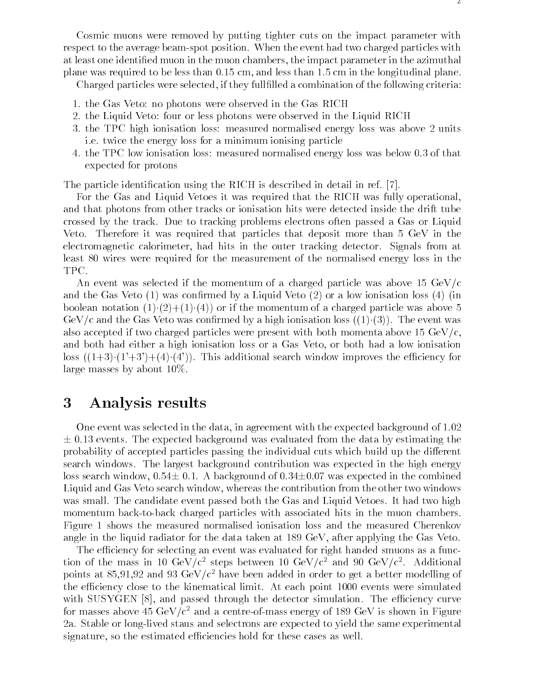Cosmic muons were removed by putting tighter cuts on the impact parameter with respect to the average beam-spot position. When the event had two charged particles with at least one identied muon in the muon chambers, the impact parameter in the azimuthal plane was required to be less than 0.15 cm, and less than 1.5 cm in the longitudinal plane.

Charged particles were selected, if they fullfilled a combination of the following criteria:

- 1. the Gas Veto: no photons were observed in the Gas RICH
- 2. the Liquid Veto: four or less photons were observed in the Liquid RICH
- 3. the TPC high ionisation loss: measured normalised energy loss was above 2 units i.e. twice the energy loss for a minimum ionising particle
- 4. the TPC low ionisation loss: measured normalised energy loss was below 0.3 of that expected for protons

The particle identification using the RICH is described in detail in ref. [7].

For the Gas and Liquid Vetoes it was required that the RICH was fully operational, and that photons from other tracks or ionisation hits were detected inside the drift tube crossed by the track. Due to tracking problems electrons often passed a Gas or Liquid Veto. Therefore it was required that particles that deposit more than 5 GeV in the electromagnetic calorimeter, had hits in the outer tracking detector. Signals from at least 80 wires were required for the measurement of the normalised energy loss in the TPC.

An event was selected if the momentum of a charged particle was above 15 GeV/c and the Gas Veto  $(1)$  was confirmed by a Liquid Veto  $(2)$  or a low ionisation loss  $(4)$  (in boolean notation  $(1)(2)+(1)(4)$  or if the momentum of a charged particle was above 5 GeV/c and the Gas Veto was confirmed by a high ionisation loss  $((1)(3))$ . The event was also accepted if two charged particles were present with both momenta above 15  $GeV/c$ . and both had either a high ionisation loss or a Gas Veto, or both had a low ionisation loss  $((1+3)(1'+3')+(4)(4'))$ . This additional search window improves the efficiency for large masses by about 10%.

## 3 Analysis results

One event was selected in the data, in agreement with the expected background of 1.02  $\pm$  0.13 events. The expected background was evaluated from the data by estimating the probability of accepted particles passing the individual cuts which build up the different search windows. The largest background contribution was expected in the high energy loss search window,  $0.54 \pm 0.1$ . A background of  $0.34 \pm 0.07$  was expected in the combined Liquid and Gas Veto search window, whereas the contribution from the other two windows was small. The candidate event passed both the Gas and Liquid Vetoes. It had two high momentum back-to-back charged particles with associated hits in the muon chambers. Figure 1 shows the measured normalised ionisation loss and the measured Cherenkov angle in the liquid radiator for the data taken at 189 GeV, after applying the Gas Veto.

The efficiency for selecting an event was evaluated for right handed smuons as a function of the mass in 10 GeV/c2 steps between 10 GeV/c<sup>2</sup> and 90 GeV/c2 . Additional points at 85,91,92 and 93 GeV/ $c^2$  have been added in order to get a better modelling of the efficiency close to the kinematical limit. At each point 1000 events were simulated with SUSYGEN [8], and passed through the detector simulation. The efficiency curve for masses above 45  $GeV/c^2$  and a centre-of-mass energy of 189 GeV is shown in Figure 2a. Stable or long-lived staus and selectrons are expected to yield the same experimental signature, so the estimated efficiencies hold for these cases as well.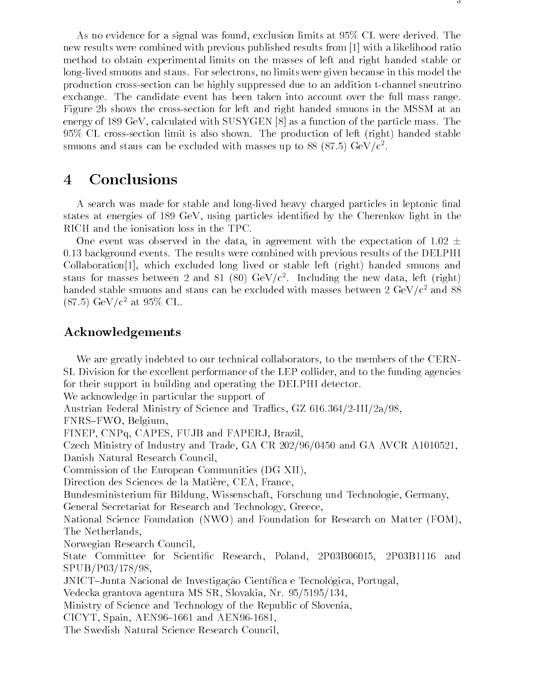As no evidence for a signal was found, exclusion limits at 95% CL were derived. The new results were combined with previous published results from [1] with a likelihood ratio method to obtain experimental limits on the masses of left and right handed stable or long-lived smuons and staus. For selectrons, no limits were given because in this model the production cross-section can be highly suppressed due to an addition t-channel sneutrino exchange. The candidate event has been taken into account over the full mass range. Figure 2b shows the cross-section for left and right handed smuons in the MSSM at an energy of 189 GeV, calculated with SUSYGEN [8] as a function of the particle mass. The 95% CL cross-section limit is also shown. The production of left (right) handed stable smuons and staus can be excluded with masses up to 88 (87.5) GeV/c  $\,$  .

#### **Conclusions**  $\overline{4}$

A search was made for stable and long-lived heavy charged particles in leptonic final states at energies of 189 GeV, using particles identified by the Cherenkov light in the RICH and the ionisation loss in the TPC.

One event was observed in the data, in agreement with the expectation of 1.02  $\pm$ 0.13 background events. The results were combined with previous results of the DELPHI Collaboration[1], which excluded long lived or stable left (right) handed smuons and staus for masses between  $\angle$  and  $\circ$ 1 ( $\circ$ 0) GeV/c). Including the new data, left (right)  $$ handed stable smuons and staus can be excluded with masses between  $2 \text{ GeV}/c^2$  and 88  $(87.5)~{\rm GeV}/c^2$  at 95% CL.

#### Acknowledgements

We are greatly indebted to our technical collaborators, to the members of the CERN-SL Division for the excellent performance of the LEP collider, and to the funding agencies for their support in building and operating the DELPHI detector. We acknowledge in particular the support of Austrian Federal Ministry of Science and Traffics, GZ  $616.364/2$ -III/ $2a/98$ , FNRS-FWO, Belgium, FINEP, CNPq, CAPES, FUJB and FAPERJ, Brazil, Czech Ministry of Industry and Trade, GA CR 202/96/0450 and GA AVCR A1010521, Danish Natural Research Council, Commission of the European Communities (DG XII), Direction des Sciences de la Matiere, CEA, France, Bundesministerium für Bildung, Wissenschaft, Forschung und Technologie, Germany, General Secretariat for Research and Technology, Greece, National Science Foundation (NWO) and Foundation for Research on Matter (FOM), The Netherlands, Norwegian Research Council, State Committee for Scientific Research, Poland, 2P03B06015, 2P03B1116 and SPUB/P03/178/98, JNICT-Junta Nacional de Investigação Científica e Tecnológica, Portugal, Vedecka grantova agentura MS SR, Slovakia, Nr. 95/5195/134, Ministry of Science and Technology of the Republic of Slovenia, CICYT, Spain, AEN96-1661 and AEN96-1681, The Swedish Natural Science Research Council,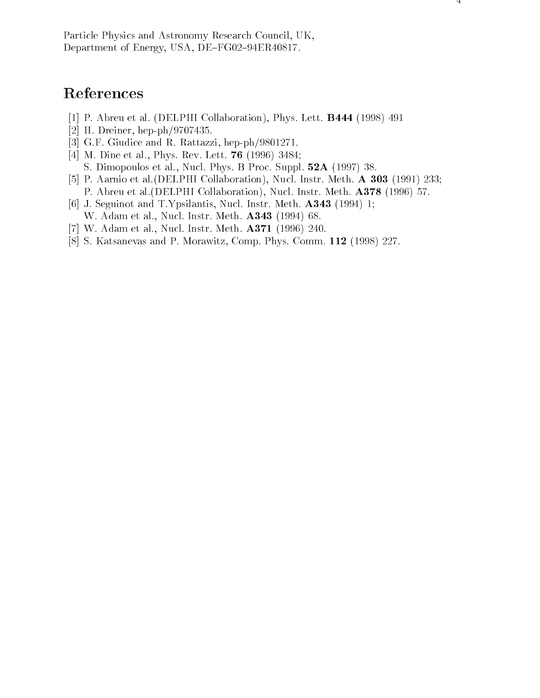### References

- [1] P. Abreu et al. (DELPHI Collaboration), Phys. Lett. B444 (1998) 491
- [2] H. Dreiner, hep-ph/9707435.
- [3] G.F. Giudice and R. Rattazzi, hep-ph/9801271.
- [4] M. Dine et al., Phys. Rev. Lett. 76 (1996) 3484; S. Dimopoulos et al., Nucl. Phys. B Proc. Suppl. 52A (1997) 38.
- [5] P. Aarnio et al.(DELPHI Collaboration), Nucl. Instr. Meth. A 303 (1991) 233; P. Abreu et al. (DELPHI Collaboration), Nucl. Instr. Meth. A378 (1996) 57.
- [6] J. Seguinot and T.Ypsilantis, Nucl. Instr. Meth. A343 (1994) 1; W. Adam et al., Nucl. Instr. Meth. A343 (1994) 68.
- [7] W. Adam et al., Nucl. Instr. Meth. A371 (1996) 240.
- [8] S. Katsanevas and P. Morawitz, Comp. Phys. Comm. 112 (1998) 227.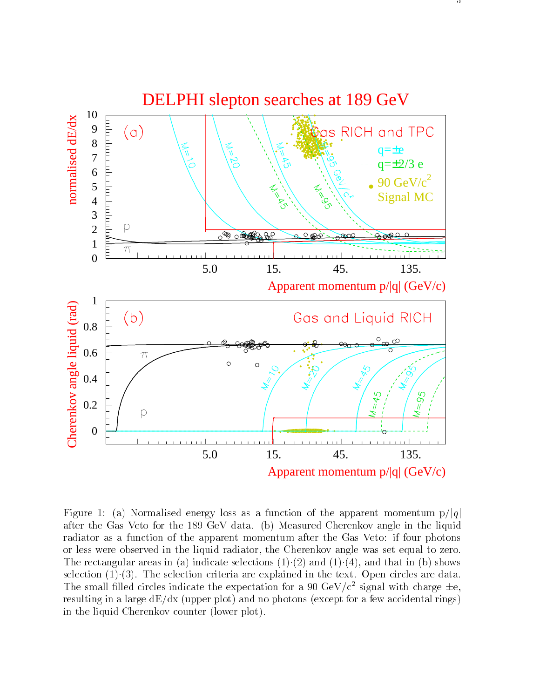

Figure 1: (a) Normalised energy loss as a function of the apparent momentum  $p/|q|$ after the Gas Veto for the 189 GeV data. (b) Measured Cherenkov angle in the liquid radiator as a function of the apparent momentum after the Gas Veto: if four photons or less were observed in the liquid radiator, the Cherenkov angle was set equal to zero. The rectangular areas in (a) indicate selections  $(1)(2)$  and  $(1)(4)$ , and that in (b) shows selection  $(1)(3)$ . The selection criteria are explained in the text. Open circles are data. The small filled circles indicate the expectation for a 90 GeV/ $c^2$  signal with charge  $\pm e$ . resulting in a large  $dE/dx$  (upper plot) and no photons (except for a few accidental rings) in the liquid Cherenkov counter (lower plot).